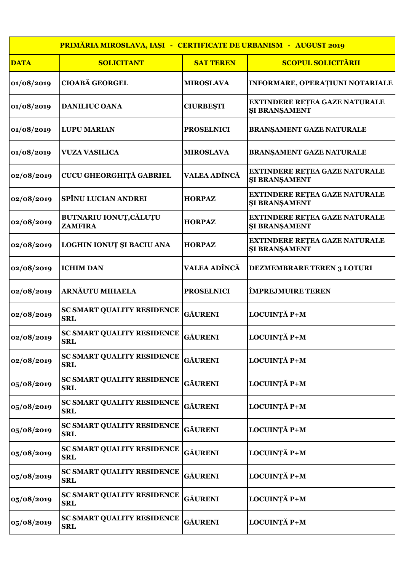| PRIMĂRIA MIROSLAVA, IAȘI - CERTIFICATE DE URBANISM - AUGUST 2019 |                                                 |                     |                                                              |
|------------------------------------------------------------------|-------------------------------------------------|---------------------|--------------------------------------------------------------|
| <b>DATA</b>                                                      | <b>SOLICITANT</b>                               | <b>SAT TEREN</b>    | <b>SCOPUL SOLICITĂRII</b>                                    |
| 01/08/2019                                                       | <b>CIOABĂ GEORGEL</b>                           | <b>MIROSLAVA</b>    | <b>INFORMARE, OPERAȚIUNI NOTARIALE</b>                       |
| 01/08/2019                                                       | <b>DANILIUC OANA</b>                            | <b>CIURBEȘTI</b>    | <b>EXTINDERE RETEA GAZE NATURALE</b><br><b>ŞI BRANŞAMENT</b> |
| 01/08/2019                                                       | <b>LUPU MARIAN</b>                              | <b>PROSELNICI</b>   | <b>BRANŞAMENT GAZE NATURALE</b>                              |
| 01/08/2019                                                       | <b>VUZA VASILICA</b>                            | <b>MIROSLAVA</b>    | <b>BRANŞAMENT GAZE NATURALE</b>                              |
| 02/08/2019                                                       | CUCU GHEORGHIȚĂ GABRIEL                         | <b>VALEA ADÎNCĂ</b> | <b>EXTINDERE RETEA GAZE NATURALE</b><br><b>ŞI BRANŞAMENT</b> |
| 02/08/2019                                                       | <b>SPÎNU LUCIAN ANDREI</b>                      | <b>HORPAZ</b>       | <b>EXTINDERE REȚEA GAZE NATURALE</b><br><b>ŞI BRANŞAMENT</b> |
| 02/08/2019                                                       | <b>BUTNARIU IONUȚ, CĂLUȚU</b><br><b>ZAMFIRA</b> | <b>HORPAZ</b>       | <b>EXTINDERE RETEA GAZE NATURALE</b><br><b>SI BRANSAMENT</b> |
| 02/08/2019                                                       | <b>LOGHIN IONUT ȘI BACIU ANA</b>                | <b>HORPAZ</b>       | EXTINDERE REȚEA GAZE NATURALE<br>ŞI BRANŞAMENT               |
| 02/08/2019                                                       | <b>ICHIM DAN</b>                                | VALEA ADÎNCĂ        | <b>DEZMEMBRARE TEREN 3 LOTURI</b>                            |
| 02/08/2019                                                       | <b>ARNĂUTU MIHAELA</b>                          | <b>PROSELNICI</b>   | <b>ÎMPREJMUIRE TEREN</b>                                     |
| 02/08/2019                                                       | <b>SC SMART QUALITY RESIDENCE</b><br><b>SRL</b> | <b>GÄURENI</b>      | LOCUINȚĂ P+M                                                 |
| 02/08/2019                                                       | <b>SC SMART QUALITY RESIDENCE</b><br>SRL        | <b>GÄURENI</b>      | LOCUINȚĂ P+M                                                 |
| 02/08/2019                                                       | <b>SC SMART QUALITY RESIDENCE</b><br><b>SRL</b> | <b>GÄURENI</b>      | LOCUINȚĂ P+M                                                 |
| 05/08/2019                                                       | <b>SC SMART QUALITY RESIDENCE</b><br><b>SRL</b> | <b>GĂURENI</b>      | LOCUINȚĂ P+M                                                 |
| 05/08/2019                                                       | <b>SC SMART QUALITY RESIDENCE</b><br><b>SRL</b> | <b>GĂURENI</b>      | LOCUINȚĂ P+M                                                 |
| 05/08/2019                                                       | <b>SC SMART QUALITY RESIDENCE</b><br><b>SRL</b> | <b>GÄURENI</b>      | LOCUINȚĂ P+M                                                 |
| 05/08/2019                                                       | <b>SC SMART QUALITY RESIDENCE</b><br><b>SRL</b> | <b>GÄURENI</b>      | LOCUINȚĂ P+M                                                 |
| 05/08/2019                                                       | <b>SC SMART QUALITY RESIDENCE</b><br><b>SRL</b> | <b>GÄURENI</b>      | LOCUINȚĂ P+M                                                 |
| 05/08/2019                                                       | <b>SC SMART QUALITY RESIDENCE</b><br><b>SRL</b> | <b>GÄURENI</b>      | LOCUINȚĂ P+M                                                 |
| 05/08/2019                                                       | <b>SC SMART QUALITY RESIDENCE</b><br><b>SRL</b> | <b>GÄURENI</b>      | LOCUINȚĂ P+M                                                 |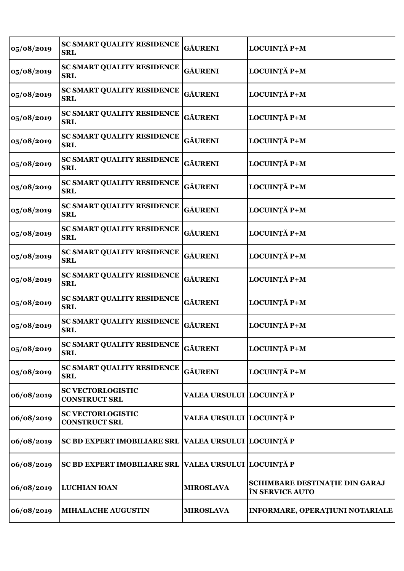| 05/08/2019 | <b>SC SMART QUALITY RESIDENCE</b><br><b>SRL</b>  | <b>GĂURENI</b>           | LOCUINȚĂ P+M                                      |
|------------|--------------------------------------------------|--------------------------|---------------------------------------------------|
| 05/08/2019 | <b>SC SMART QUALITY RESIDENCE</b><br><b>SRL</b>  | <b>GĂURENI</b>           | LOCUINȚĂ P+M                                      |
| 05/08/2019 | <b>SC SMART QUALITY RESIDENCE</b><br><b>SRL</b>  | <b>GĂURENI</b>           | LOCUINȚĂ P+M                                      |
| 05/08/2019 | <b>SC SMART QUALITY RESIDENCE</b><br><b>SRL</b>  | <b>GĂURENI</b>           | LOCUINȚĂ P+M                                      |
| 05/08/2019 | <b>SC SMART QUALITY RESIDENCE</b><br><b>SRL</b>  | <b>GÄURENI</b>           | LOCUINȚĂ P+M                                      |
| 05/08/2019 | <b>SC SMART QUALITY RESIDENCE</b><br><b>SRL</b>  | <b>GÄURENI</b>           | LOCUINȚĂ P+M                                      |
| 05/08/2019 | <b>SC SMART QUALITY RESIDENCE</b><br><b>SRL</b>  | <b>GÄURENI</b>           | LOCUINȚĂ P+M                                      |
| 05/08/2019 | <b>SC SMART QUALITY RESIDENCE</b><br><b>SRL</b>  | <b>GÄURENI</b>           | LOCUINȚĂ P+M                                      |
| 05/08/2019 | <b>SC SMART QUALITY RESIDENCE</b><br><b>SRL</b>  | <b>GÄURENI</b>           | LOCUINȚĂ P+M                                      |
| 05/08/2019 | <b>SC SMART QUALITY RESIDENCE</b><br><b>SRL</b>  | <b>GÄURENI</b>           | LOCUINȚĂ P+M                                      |
| 05/08/2019 | <b>SC SMART QUALITY RESIDENCE</b><br><b>SRL</b>  | <b>GÄURENI</b>           | LOCUINȚĂ P+M                                      |
| 05/08/2019 | <b>SC SMART QUALITY RESIDENCE</b><br><b>SRL</b>  | <b>GÄURENI</b>           | LOCUINȚĂ P+M                                      |
| 05/08/2019 | <b>SC SMART QUALITY RESIDENCE</b><br><b>SRL</b>  | <b>GĂURENI</b>           | LOCUINȚĂ P+M                                      |
| 05/08/2019 | <b>SC SMART QUALITY RESIDENCE</b><br><b>SRL</b>  | <b>GÄURENI</b>           | LOCUINȚĂ P+M                                      |
| 05/08/2019 | <b>SC SMART QUALITY RESIDENCE</b><br><b>SRL</b>  | <b>GÄURENI</b>           | LOCUINȚĂ P+M                                      |
| 06/08/2019 | <b>SC VECTORLOGISTIC</b><br><b>CONSTRUCT SRL</b> | VALEA URSULUI LOCUINȚĂ P |                                                   |
| 06/08/2019 | <b>SC VECTORLOGISTIC</b><br><b>CONSTRUCT SRL</b> | VALEA URSULUI LOCUINȚĂ P |                                                   |
| 06/08/2019 | SC BD EXPERT IMOBILIARE SRL                      | VALEA URSULUI LOCUINȚĂ P |                                                   |
| 06/08/2019 | <b>SC BD EXPERT IMOBILIARE SRL</b>               | VALEA URSULUI LOCUINȚĂ P |                                                   |
| 06/08/2019 | <b>LUCHIAN IOAN</b>                              | <b>MIROSLAVA</b>         | SCHIMBARE DESTINAȚIE DIN GARAJ<br>ÎN SERVICE AUTO |
| 06/08/2019 | <b>MIHALACHE AUGUSTIN</b>                        | <b>MIROSLAVA</b>         | INFORMARE, OPERAȚIUNI NOTARIALE                   |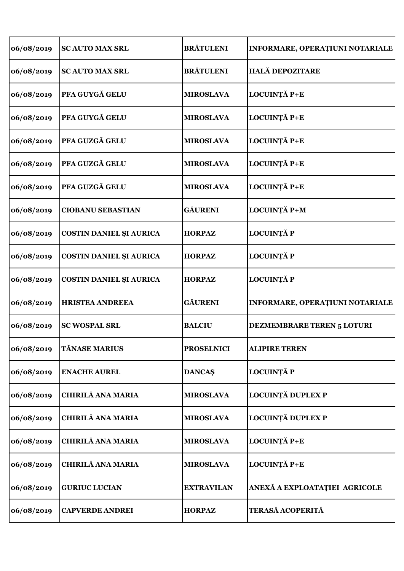| 06/08/2019 | <b>SCAUTO MAX SRL</b>          | <b>BRĂTULENI</b>  | INFORMARE, OPERAȚIUNI NOTARIALE        |
|------------|--------------------------------|-------------------|----------------------------------------|
| 06/08/2019 | <b>SC AUTO MAX SRL</b>         | <b>BRĂTULENI</b>  | <b>HALĂ DEPOZITARE</b>                 |
| 06/08/2019 | PFA GUYGĂ GELU                 | <b>MIROSLAVA</b>  | LOCUINȚĂ P+E                           |
| 06/08/2019 | PFA GUYGĂ GELU                 | <b>MIROSLAVA</b>  | LOCUINȚĂ P+E                           |
| 06/08/2019 | PFA GUZGĂ GELU                 | <b>MIROSLAVA</b>  | LOCUINȚĂ P+E                           |
| 06/08/2019 | PFA GUZGĂ GELU                 | <b>MIROSLAVA</b>  | LOCUINȚĂ P+E                           |
| 06/08/2019 | PFA GUZGĂ GELU                 | <b>MIROSLAVA</b>  | LOCUINȚĂ P+E                           |
| 06/08/2019 | <b>CIOBANU SEBASTIAN</b>       | <b>GÄURENI</b>    | LOCUINȚĂ P+M                           |
| 06/08/2019 | COSTIN DANIEL ȘI AURICA        | <b>HORPAZ</b>     | <b>LOCUINȚĂ P</b>                      |
| 06/08/2019 | <b>COSTIN DANIEL ȘI AURICA</b> | <b>HORPAZ</b>     | <b>LOCUINȚĂ P</b>                      |
| 06/08/2019 | COSTIN DANIEL ȘI AURICA        | <b>HORPAZ</b>     | <b>LOCUINȚĂ P</b>                      |
| 06/08/2019 | <b>HRISTEA ANDREEA</b>         | <b>GĂURENI</b>    | <b>INFORMARE, OPERAȚIUNI NOTARIALE</b> |
| 06/08/2019 | <b>SC WOSPAL SRL</b>           | <b>BALCIU</b>     | <b>DEZMEMBRARE TEREN 5 LOTURI</b>      |
| 06/08/2019 | <b>TĂNASE MARIUS</b>           | <b>PROSELNICI</b> | <b>ALIPIRE TEREN</b>                   |
| 06/08/2019 | <b>ENACHE AUREL</b>            | <b>DANCAŞ</b>     | <b>LOCUINȚĂ P</b>                      |
| 06/08/2019 | <b>CHIRILĂ ANA MARIA</b>       | <b>MIROSLAVA</b>  | LOCUINȚĂ DUPLEX P                      |
| 06/08/2019 | <b>CHIRILĂ ANA MARIA</b>       | <b>MIROSLAVA</b>  | <b>LOCUINȚĂ DUPLEX P</b>               |
| 06/08/2019 | <b>CHIRILĂ ANA MARIA</b>       | <b>MIROSLAVA</b>  | LOCUINȚĂ P+E                           |
| 06/08/2019 | <b>CHIRILĂ ANA MARIA</b>       | <b>MIROSLAVA</b>  | LOCUINȚĂ P+E                           |
| 06/08/2019 | <b>GURIUC LUCIAN</b>           | <b>EXTRAVILAN</b> | ANEXĂ A EXPLOATAȚIEI AGRICOLE          |
| 06/08/2019 | <b>CAPVERDE ANDREI</b>         | <b>HORPAZ</b>     | TERASĂ ACOPERITĂ                       |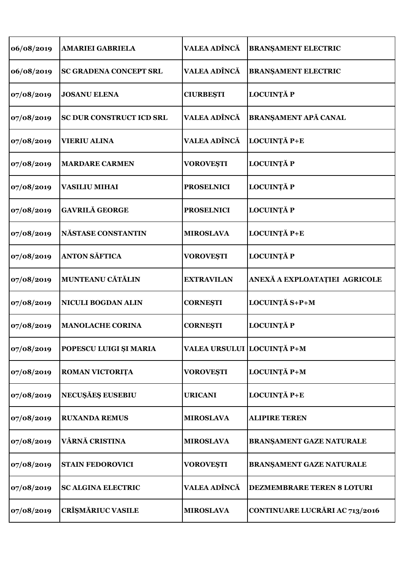| 06/08/2019 | <b>AMARIEI GABRIELA</b>         | VALEA ADÎNCĂ               | <b>BRANŞAMENT ELECTRIC</b>            |
|------------|---------------------------------|----------------------------|---------------------------------------|
| 06/08/2019 | <b>SC GRADENA CONCEPT SRL</b>   | VALEA ADÎNCĂ               | <b>BRANŞAMENT ELECTRIC</b>            |
| 07/08/2019 | <b>JOSANU ELENA</b>             | <b>CIURBEȘTI</b>           | <b>LOCUINȚĂ P</b>                     |
| 07/08/2019 | <b>SC DUR CONSTRUCT ICD SRL</b> | VALEA ADÎNCĂ               | <b>BRANŞAMENT APĂ CANAL</b>           |
| 07/08/2019 | <b>VIERIU ALINA</b>             | VALEA ADÎNCĂ               | LOCUINȚĂ P+E                          |
| 07/08/2019 | <b>MARDARE CARMEN</b>           | <b>VOROVEȘTI</b>           | <b>LOCUINȚĂ P</b>                     |
| 07/08/2019 | <b>VASILIU MIHAI</b>            | <b>PROSELNICI</b>          | <b>LOCUINȚĂ P</b>                     |
| 07/08/2019 | <b>GAVRILĂ GEORGE</b>           | <b>PROSELNICI</b>          | <b>LOCUINȚĂ P</b>                     |
| 07/08/2019 | <b>NÄSTASE CONSTANTIN</b>       | <b>MIROSLAVA</b>           | LOCUINȚĂ P+E                          |
| 07/08/2019 | <b>ANTON SĂFTICA</b>            | <b>VOROVEȘTI</b>           | <b>LOCUINȚĂ P</b>                     |
| 07/08/2019 | MUNTEANU CĂTĂLIN                | <b>EXTRAVILAN</b>          | ANEXĂ A EXPLOATAȚIEI AGRICOLE         |
| 07/08/2019 | <b>NICULI BOGDAN ALIN</b>       | <b>CORNESTI</b>            | LOCUINȚĂ S+P+M                        |
| 07/08/2019 | <b>MANOLACHE CORINA</b>         | <b>CORNESTI</b>            | LOCUINȚĂ P                            |
| 07/08/2019 | POPESCU LUIGI ȘI MARIA          | VALEA URSULUI LOCUINȚĂ P+M |                                       |
| 07/08/2019 | ROMAN VICTORIȚA                 | <b>VOROVEȘTI</b>           | LOCUINȚĂ P+M                          |
| 07/08/2019 | <b>NECUȘĂEȘ EUSEBIU</b>         | <b>URICANI</b>             | LOCUINȚĂ P+E                          |
| 07/08/2019 | <b>RUXANDA REMUS</b>            | <b>MIROSLAVA</b>           | <b>ALIPIRE TEREN</b>                  |
| 07/08/2019 | VÂRNĂ CRISTINA                  | <b>MIROSLAVA</b>           | <b>BRANŞAMENT GAZE NATURALE</b>       |
| 07/08/2019 | <b>STAIN FEDOROVICI</b>         | <b>VOROVEȘTI</b>           | <b>BRANŞAMENT GAZE NATURALE</b>       |
| 07/08/2019 | <b>SC ALGINA ELECTRIC</b>       | <b>VALEA ADÎNCĂ</b>        | DEZMEMBRARE TEREN 8 LOTURI            |
| 07/08/2019 | <b>CRÎȘMĂRIUC VASILE</b>        | <b>MIROSLAVA</b>           | <b>CONTINUARE LUCRĂRI AC 713/2016</b> |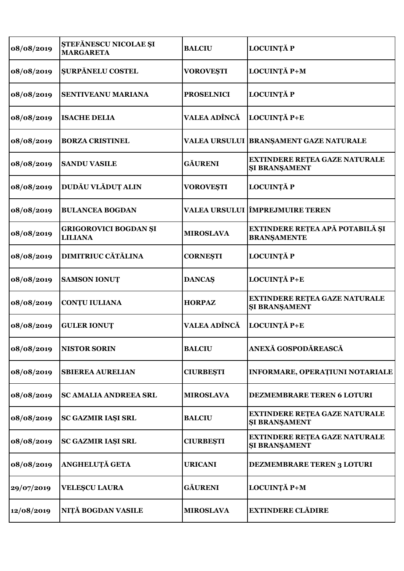| 08/08/2019 | ȘTEFĂNESCU NICOLAE ȘI<br><b>MARGARETA</b>      | <b>BALCIU</b>        | <b>LOCUINȚĂ P</b>                                            |
|------------|------------------------------------------------|----------------------|--------------------------------------------------------------|
| 08/08/2019 | <b>SURPĂNELU COSTEL</b>                        | <b>VOROVESTI</b>     | LOCUINȚĂ P+M                                                 |
| 08/08/2019 | SENTIVEANU MARIANA                             | <b>PROSELNICI</b>    | <b>LOCUINȚĂ P</b>                                            |
| 08/08/2019 | <b>ISACHE DELIA</b>                            | VALEA ADÎNCĂ         | LOCUINȚĂ P+E                                                 |
| 08/08/2019 | <b>BORZA CRISTINEL</b>                         |                      | VALEA URSULUI   BRANȘAMENT GAZE NATURALE                     |
| 08/08/2019 | <b>SANDU VASILE</b>                            | <b>GÄURENI</b>       | <b>EXTINDERE RETEA GAZE NATURALE</b><br><b>ŞI BRANŞAMENT</b> |
| 08/08/2019 | DUDĂU VLĂDUȚ ALIN                              | <b>VOROVEȘTI</b>     | <b>LOCUINȚĂ P</b>                                            |
| 08/08/2019 | <b>BULANCEA BOGDAN</b>                         | <b>VALEA URSULUI</b> | <b>TERE EXAMPLE TEREN</b>                                    |
| 08/08/2019 | <b>GRIGOROVICI BOGDAN ȘI</b><br><b>LILIANA</b> | <b>MIROSLAVA</b>     | EXTINDERE REȚEA APĂ POTABILĂ ȘI<br><b>BRANSAMENTE</b>        |
| 08/08/2019 | <b>DIMITRIUC CĂTĂLINA</b>                      | <b>CORNESTI</b>      | <b>LOCUINȚĂ P</b>                                            |
| 08/08/2019 | <b>SAMSON IONUT</b>                            | <b>DANCAŞ</b>        | LOCUINȚĂ P+E                                                 |
| 08/08/2019 | <b>CONTU IULIANA</b>                           | <b>HORPAZ</b>        | EXTINDERE REȚEA GAZE NATURALE<br><b>ŞI BRANŞAMENT</b>        |
| 08/08/2019 | <b>GULER IONUT</b>                             | VALEA ADÎNCĂ         | LOCUINȚĂ P+E                                                 |
| 08/08/2019 | <b>NISTOR SORIN</b>                            | <b>BALCIU</b>        | ANEXĂ GOSPODĂREASCĂ                                          |
| 08/08/2019 | <b>SBIEREA AURELIAN</b>                        | <b>CIURBEȘTI</b>     | INFORMARE, OPERAȚIUNI NOTARIALE                              |
| 08/08/2019 | <b>SC AMALIA ANDREEA SRL</b>                   | <b>MIROSLAVA</b>     | DEZMEMBRARE TEREN 6 LOTURI                                   |
| 08/08/2019 | SC GAZMIR IAȘI SRL                             | <b>BALCIU</b>        | <b>EXTINDERE RETEA GAZE NATURALE</b><br><b>ŞI BRANŞAMENT</b> |
| 08/08/2019 | SC GAZMIR IAȘI SRL                             | <b>CIURBEȘTI</b>     | <b>EXTINDERE RETEA GAZE NATURALE</b><br><b>SI BRANSAMENT</b> |
| 08/08/2019 | ANGHELUȚĂ GETA                                 | <b>URICANI</b>       | DEZMEMBRARE TEREN 3 LOTURI                                   |
| 29/07/2019 | <b>VELESCU LAURA</b>                           | <b>GÄURENI</b>       | LOCUINȚĂ P+M                                                 |
| 12/08/2019 | NIȚĂ BOGDAN VASILE                             | <b>MIROSLAVA</b>     | <b>EXTINDERE CLĂDIRE</b>                                     |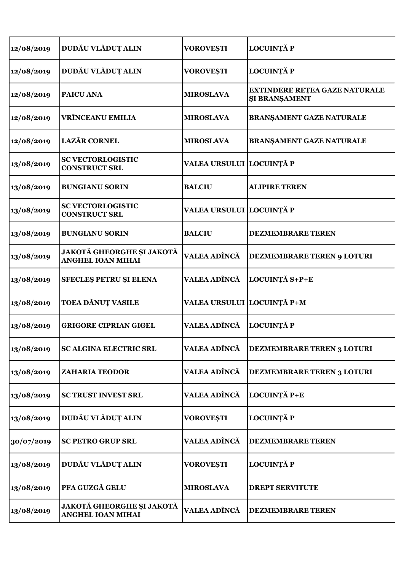| 12/08/2019 | DUDĂU VLĂDUȚ ALIN                                            | <b>VOROVEȘTI</b>           | <b>LOCUINȚĂ P</b>                                     |
|------------|--------------------------------------------------------------|----------------------------|-------------------------------------------------------|
| 12/08/2019 | DUDĂU VLĂDUȚ ALIN                                            | <b>VOROVEȘTI</b>           | <b>LOCUINȚĂ P</b>                                     |
| 12/08/2019 | <b>PAICU ANA</b>                                             | <b>MIROSLAVA</b>           | <b>EXTINDERE REȚEA GAZE NATURALE</b><br>ŞI BRANŞAMENT |
| 12/08/2019 | <b>VRÎNCEANU EMILIA</b>                                      | <b>MIROSLAVA</b>           | <b>BRANŞAMENT GAZE NATURALE</b>                       |
| 12/08/2019 | <b>LAZĂR CORNEL</b>                                          | <b>MIROSLAVA</b>           | <b>BRANŞAMENT GAZE NATURALE</b>                       |
| 13/08/2019 | <b>SC VECTORLOGISTIC</b><br><b>CONSTRUCT SRL</b>             | VALEA URSULUI LOCUINȚĂ P   |                                                       |
| 13/08/2019 | <b>BUNGIANU SORIN</b>                                        | <b>BALCIU</b>              | <b>ALIPIRE TEREN</b>                                  |
| 13/08/2019 | <b>SC VECTORLOGISTIC</b><br><b>CONSTRUCT SRL</b>             | VALEA URSULUI LOCUINȚĂ P   |                                                       |
| 13/08/2019 | <b>BUNGIANU SORIN</b>                                        | <b>BALCIU</b>              | <b>DEZMEMBRARE TEREN</b>                              |
| 13/08/2019 | JAKOTĂ GHEORGHE ȘI JAKOTĂ<br><b>ANGHEL IOAN MIHAI</b>        | VALEA ADÎNCĂ               | DEZMEMBRARE TEREN 9 LOTURI                            |
| 13/08/2019 | <b>SFECLES PETRU ȘI ELENA</b>                                | VALEA ADÎNCĂ               | LOCUINȚĂ S+P+E                                        |
| 13/08/2019 | TOEA DĂNUȚ VASILE                                            | VALEA URSULUI LOCUINȚĂ P+M |                                                       |
| 13/08/2019 | <b>GRIGORE CIPRIAN GIGEL</b>                                 | VALEA ADÎNCĂ               | <b>LOCUINȚĂ P</b>                                     |
| 13/08/2019 | <b>SC ALGINA ELECTRIC SRL</b>                                | <b>VALEA ADÎNCĂ</b>        | <b>DEZMEMBRARE TEREN 3 LOTURI</b>                     |
| 13/08/2019 | <b>ZAHARIA TEODOR</b>                                        | VALEA ADÎNCĂ               | <b>DEZMEMBRARE TEREN 3 LOTURI</b>                     |
| 13/08/2019 | <b>SC TRUST INVEST SRL</b>                                   | VALEA ADÎNCĂ               | LOCUINȚĂ P+E                                          |
| 13/08/2019 | DUDĂU VLĂDUȚ ALIN                                            | <b>VOROVEȘTI</b>           | <b>LOCUINȚĂ P</b>                                     |
| 30/07/2019 | <b>SC PETRO GRUP SRL</b>                                     | VALEA ADÎNCĂ               | <b>DEZMEMBRARE TEREN</b>                              |
| 13/08/2019 | DUDĂU VLĂDUȚ ALIN                                            | <b>VOROVEȘTI</b>           | <b>LOCUINȚĂ P</b>                                     |
| 13/08/2019 | PFA GUZGĂ GELU                                               | <b>MIROSLAVA</b>           | <b>DREPT SERVITUTE</b>                                |
| 13/08/2019 | <b>JAKOTĂ GHEORGHE ȘI JAKOTĂ</b><br><b>ANGHEL IOAN MIHAI</b> | VALEA ADÎNCĂ               | <b>DEZMEMBRARE TEREN</b>                              |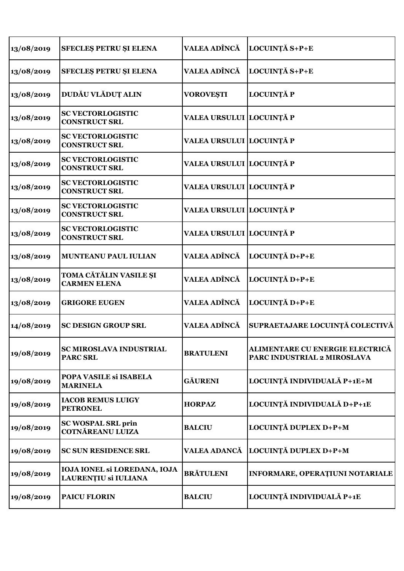| 13/08/2019 | SFECLES PETRU ȘI ELENA                               | VALEA ADÎNCĂ             | LOCUINȚĂ S+P+E                                                 |
|------------|------------------------------------------------------|--------------------------|----------------------------------------------------------------|
| 13/08/2019 | <b>SFECLES PETRU ȘI ELENA</b>                        | VALEA ADÎNCĂ             | LOCUINȚĂ S+P+E                                                 |
| 13/08/2019 | DUDĂU VLĂDUȚ ALIN                                    | <b>VOROVEȘTI</b>         | <b>LOCUINȚĂ P</b>                                              |
| 13/08/2019 | <b>SC VECTORLOGISTIC</b><br><b>CONSTRUCT SRL</b>     | VALEA URSULUI LOCUINȚĂ P |                                                                |
| 13/08/2019 | <b>SC VECTORLOGISTIC</b><br><b>CONSTRUCT SRL</b>     | VALEA URSULUI LOCUINȚĂ P |                                                                |
| 13/08/2019 | <b>SC VECTORLOGISTIC</b><br><b>CONSTRUCT SRL</b>     | VALEA URSULUI LOCUINȚĂ P |                                                                |
| 13/08/2019 | <b>SC VECTORLOGISTIC</b><br><b>CONSTRUCT SRL</b>     | VALEA URSULUI LOCUINȚĂ P |                                                                |
| 13/08/2019 | <b>SC VECTORLOGISTIC</b><br><b>CONSTRUCT SRL</b>     | VALEA URSULUI LOCUINȚĂ P |                                                                |
| 13/08/2019 | <b>SC VECTORLOGISTIC</b><br><b>CONSTRUCT SRL</b>     | VALEA URSULUI LOCUINȚĂ P |                                                                |
| 13/08/2019 | <b>MUNTEANU PAUL IULIAN</b>                          | VALEA ADÎNCĂ             | LOCUINȚĂ D+P+E                                                 |
| 13/08/2019 | <b>TOMA CĂTĂLIN VASILE ȘI</b><br><b>CARMEN ELENA</b> | VALEA ADÎNCĂ             | LOCUINȚĂ D+P+E                                                 |
| 13/08/2019 | <b>GRIGORE EUGEN</b>                                 | VALEA ADÎNCĂ             | LOCUINȚĂ D+P+E                                                 |
| 14/08/2019 | <b>SC DESIGN GROUP SRL</b>                           | VALEA ADÎNCĂ             | SUPRAETAJARE LOCUINȚĂ COLECTIVĂ                                |
| 19/08/2019 | SC MIROSLAVA INDUSTRIAL<br><b>PARC SRL</b>           | <b>BRATULENI</b>         | ALIMENTARE CU ENERGIE ELECTRICĂ<br>PARC INDUSTRIAL 2 MIROSLAVA |
| 19/08/2019 | POPA VASILE Si ISABELA<br><b>MARINELA</b>            | <b>GÄURENI</b>           | LOCUINȚĂ INDIVIDUALĂ P+1E+M                                    |
| 19/08/2019 | <b>IACOB REMUS LUIGY</b><br><b>PETRONEL</b>          | <b>HORPAZ</b>            | LOCUINȚĂ INDIVIDUALĂ D+P+1E                                    |
| 19/08/2019 | <b>SC WOSPAL SRL prin</b><br><b>COTNĂREANU LUIZA</b> | <b>BALCIU</b>            | LOCUINȚĂ DUPLEX D+P+M                                          |
| 19/08/2019 | <b>SC SUN RESIDENCE SRL</b>                          | <b>VALEA ADANCĂ</b>      | LOCUINȚĂ DUPLEX D+P+M                                          |
| 19/08/2019 | IOJA IONEL SI LOREDANA, IOJA<br>LAURENȚIU și IULIANA | <b>BRĂTULENI</b>         | INFORMARE, OPERAȚIUNI NOTARIALE                                |
| 19/08/2019 | <b>PAICU FLORIN</b>                                  | <b>BALCIU</b>            | LOCUINȚĂ INDIVIDUALĂ P+1E                                      |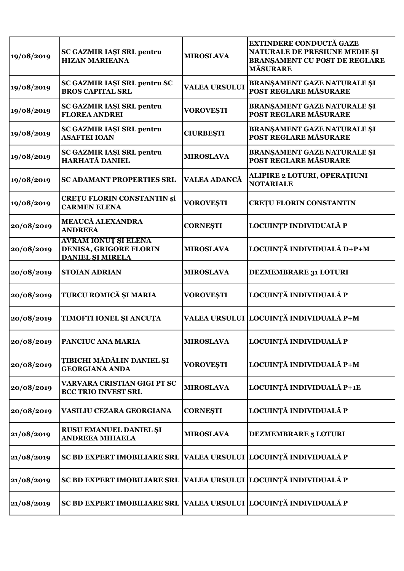| 19/08/2019 | SC GAZMIR IAȘI SRL pentru<br><b>HIZAN MARIEANA</b>                               | <b>MIROSLAVA</b>     | <b>EXTINDERE CONDUCTĂ GAZE</b><br>NATURALE DE PRESIUNE MEDIE ȘI<br><b>BRANSAMENT CU POST DE REGLARE</b><br><b>MĂSURARE</b> |
|------------|----------------------------------------------------------------------------------|----------------------|----------------------------------------------------------------------------------------------------------------------------|
| 19/08/2019 | SC GAZMIR IAȘI SRL pentru SC<br><b>BROS CAPITAL SRL</b>                          | <b>VALEA URSULUI</b> | BRANŞAMENT GAZE NATURALE ŞI<br>POST REGLARE MĂSURARE                                                                       |
| 19/08/2019 | <b>SC GAZMIR IAȘI SRL pentru</b><br><b>FLOREA ANDREI</b>                         | <b>VOROVEȘTI</b>     | <b>BRANŞAMENT GAZE NATURALE ŞI</b><br>POST REGLARE MĂSURARE                                                                |
| 19/08/2019 | <b>SC GAZMIR IAȘI SRL pentru</b><br><b>ASAFTEI IOAN</b>                          | <b>CIURBEȘTI</b>     | BRANȘAMENT GAZE NATURALE ȘI<br>POST REGLARE MĂSURARE                                                                       |
| 19/08/2019 | <b>SC GAZMIR IAȘI SRL pentru</b><br>HARHATĂ DANIEL                               | <b>MIROSLAVA</b>     | BRANŞAMENT GAZE NATURALE ŞI<br>POST REGLARE MĂSURARE                                                                       |
| 19/08/2019 | <b>SC ADAMANT PROPERTIES SRL</b>                                                 | <b>VALEA ADANCĂ</b>  | <b>ALIPIRE 2 LOTURI, OPERAȚIUNI</b><br><b>NOTARIALE</b>                                                                    |
| 19/08/2019 | <b>CRETU FLORIN CONSTANTIN și</b><br><b>CARMEN ELENA</b>                         | <b>VOROVEȘTI</b>     | <b>CRETU FLORIN CONSTANTIN</b>                                                                                             |
| 20/08/2019 | <b>MEAUCĂ ALEXANDRA</b><br><b>ANDREEA</b>                                        | <b>CORNEŞTI</b>      | LOCUINȚP INDIVIDUALĂ P                                                                                                     |
| 20/08/2019 | <b>AVRAM IONUT ȘI ELENA</b><br>DENISA, GRIGORE FLORIN<br><b>DANIEL SI MIRELA</b> | <b>MIROSLAVA</b>     | LOCUINȚĂ INDIVIDUALĂ D+P+M                                                                                                 |
| 20/08/2019 | <b>STOIAN ADRIAN</b>                                                             | <b>MIROSLAVA</b>     | DEZMEMBRARE 31 LOTURI                                                                                                      |
| 20/08/2019 | TURCU ROMICĂ ȘI MARIA                                                            | <b>VOROVEȘTI</b>     | LOCUINȚĂ INDIVIDUALĂ P                                                                                                     |
| 20/08/2019 | TIMOFTI IONEL ȘI ANCUȚA                                                          |                      | VALEA URSULUI LOCUINȚĂ INDIVIDUALĂ P+M                                                                                     |
| 20/08/2019 | PANCIUC ANA MARIA                                                                | <b>MIROSLAVA</b>     | LOCUINȚĂ INDIVIDUALĂ P                                                                                                     |
| 20/08/2019 | <b>TIBICHI MĂDĂLIN DANIEL ȘI</b><br><b>GEORGIANA ANDA</b>                        | <b>VOROVEȘTI</b>     | LOCUINȚĂ INDIVIDUALĂ P+M                                                                                                   |
| 20/08/2019 | VARVARA CRISTIAN GIGI PT SC<br><b>BCC TRIO INVEST SRL</b>                        | <b>MIROSLAVA</b>     | LOCUINȚĂ INDIVIDUALĂ P+1E                                                                                                  |
| 20/08/2019 | VASILIU CEZARA GEORGIANA                                                         | <b>CORNESTI</b>      | LOCUINȚĂ INDIVIDUALĂ P                                                                                                     |
| 21/08/2019 | RUSU EMANUEL DANIEL ȘI<br><b>ANDREEA MIHAELA</b>                                 | <b>MIROSLAVA</b>     | DEZMEMBRARE 5 LOTURI                                                                                                       |
| 21/08/2019 | <b>SC BD EXPERT IMOBILIARE SRL</b>                                               |                      | VALEA URSULUI LOCUINȚĂ INDIVIDUALĂ P                                                                                       |
| 21/08/2019 | <b>SC BD EXPERT IMOBILIARE SRL</b>                                               |                      | VALEA URSULUI LOCUINȚĂ INDIVIDUALĂ P                                                                                       |
| 21/08/2019 | SC BD EXPERT IMOBILIARE SRL  VALEA URSULUI  LOCUINȚĂ INDIVIDUALĂ P               |                      |                                                                                                                            |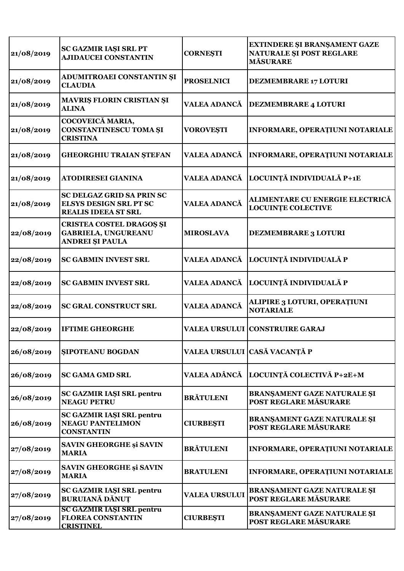| 21/08/2019 | <b>SC GAZMIR IAŞI SRL PT</b><br><b>AJIDAUCEI CONSTANTIN</b>                              | <b>CORNESTI</b>      | EXTINDERE ȘI BRANȘAMENT GAZE<br>NATURALE ȘI POST REGLARE<br><b>MĂSURARE</b> |
|------------|------------------------------------------------------------------------------------------|----------------------|-----------------------------------------------------------------------------|
| 21/08/2019 | ADUMITROAEI CONSTANTIN ȘI<br><b>CLAUDIA</b>                                              | <b>PROSELNICI</b>    | <b>DEZMEMBRARE 17 LOTURI</b>                                                |
| 21/08/2019 | <b>MAVRIS FLORIN CRISTIAN SI</b><br><b>ALINA</b>                                         | <b>VALEA ADANCĂ</b>  | <b>DEZMEMBRARE 4 LOTURI</b>                                                 |
| 21/08/2019 | COCOVEICĂ MARIA,<br><b>CONSTANTINESCU TOMA ȘI</b><br><b>CRISTINA</b>                     | <b>VOROVEȘTI</b>     | INFORMARE, OPERAȚIUNI NOTARIALE                                             |
| 21/08/2019 | <b>GHEORGHIU TRAIAN ȘTEFAN</b>                                                           | <b>VALEA ADANCĂ</b>  | INFORMARE, OPERAȚIUNI NOTARIALE                                             |
| 21/08/2019 | <b>ATODIRESEI GIANINA</b>                                                                | <b>VALEA ADANCĂ</b>  | LOCUINȚĂ INDIVIDUALĂ P+1E                                                   |
| 21/08/2019 | SC DELGAZ GRID SA PRIN SC<br><b>ELSYS DESIGN SRL PT SC</b><br><b>REALIS IDEEA ST SRL</b> | VALEA ADANCĂ         | ALIMENTARE CU ENERGIE ELECTRICĂ<br><b>LOCUINTE COLECTIVE</b>                |
| 22/08/2019 | <b>CRISTEA COSTEL DRAGOS SI</b><br><b>GABRIELA, UNGUREANU</b><br><b>ANDREI ȘI PAULA</b>  | <b>MIROSLAVA</b>     | <b>DEZMEMBRARE 3 LOTURI</b>                                                 |
| 22/08/2019 | <b>SC GABMIN INVEST SRL</b>                                                              | <b>VALEA ADANCĂ</b>  | LOCUINȚĂ INDIVIDUALĂ P                                                      |
| 22/08/2019 | <b>SC GABMIN INVEST SRL</b>                                                              | <b>VALEA ADANCĂ</b>  | LOCUINȚĂ INDIVIDUALĂ P                                                      |
| 22/08/2019 | <b>SC GRAL CONSTRUCT SRL</b>                                                             | <b>VALEA ADANCĂ</b>  | ALIPIRE 3 LOTURI, OPERAȚIUNI<br><b>NOTARIALE</b>                            |
| 22/08/2019 | <b>IFTIME GHEORGHE</b>                                                                   |                      | <b>VALEA URSULUI CONSTRUIRE GARAJ</b>                                       |
| 26/08/2019 | <b>SIPOTEANU BOGDAN</b>                                                                  |                      | VALEA URSULUI CASĂ VACANȚĂ P                                                |
| 26/08/2019 | <b>SC GAMA GMD SRL</b>                                                                   | VALEA ADÂNCĂ         | LOCUINȚĂ COLECTIVĂ P+2E+M                                                   |
| 26/08/2019 | <b>SC GAZMIR IAŞI SRL pentru</b><br><b>NEAGU PETRU</b>                                   | <b>BRĂTULENI</b>     | <b>BRANŞAMENT GAZE NATURALE ŞI</b><br>POST REGLARE MĂSURARE                 |
| 26/08/2019 | <b>SC GAZMIR IAȘI SRL pentru</b><br><b>NEAGU PANTELIMON</b><br><b>CONSTANTIN</b>         | <b>CIURBEȘTI</b>     | <b>BRANŞAMENT GAZE NATURALE ŞI</b><br>POST REGLARE MĂSURARE                 |
| 27/08/2019 | <b>SAVIN GHEORGHE și SAVIN</b><br><b>MARIA</b>                                           | <b>BRĂTULENI</b>     | INFORMARE, OPERAȚIUNI NOTARIALE                                             |
| 27/08/2019 | <b>SAVIN GHEORGHE și SAVIN</b><br><b>MARIA</b>                                           | <b>BRATULENI</b>     | INFORMARE, OPERAȚIUNI NOTARIALE                                             |
| 27/08/2019 | <b>SC GAZMIR IAŞI SRL pentru</b><br><b>BURUIANĂ DĂNUȚ</b>                                | <b>VALEA URSULUI</b> | BRANȘAMENT GAZE NATURALE ȘI<br>POST REGLARE MĂSURARE                        |
| 27/08/2019 | <b>SC GAZMIR IAŞI SRL pentru</b><br><b>FLOREA CONSTANTIN</b><br><b>CRISTINEL</b>         | <b>CIURBEȘTI</b>     | BRANŞAMENT GAZE NATURALE ŞI<br>POST REGLARE MĂSURARE                        |